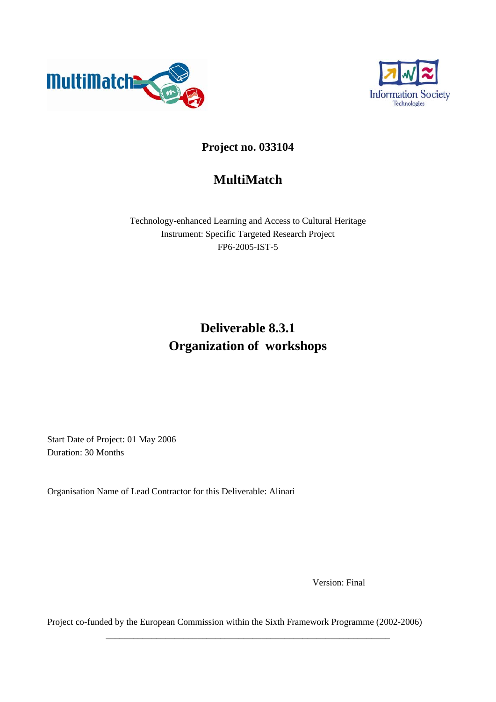



### **Project no. 033104**

## **MultiMatch**

Technology-enhanced Learning and Access to Cultural Heritage Instrument: Specific Targeted Research Project FP6-2005-IST-5

# **Deliverable 8.3.1 Organization of workshops**

Start Date of Project: 01 May 2006 Duration: 30 Months

Organisation Name of Lead Contractor for this Deliverable: Alinari

Version: Final

Project co-funded by the European Commission within the Sixth Framework Programme (2002-2006)

\_\_\_\_\_\_\_\_\_\_\_\_\_\_\_\_\_\_\_\_\_\_\_\_\_\_\_\_\_\_\_\_\_\_\_\_\_\_\_\_\_\_\_\_\_\_\_\_\_\_\_\_\_\_\_\_\_\_\_\_\_\_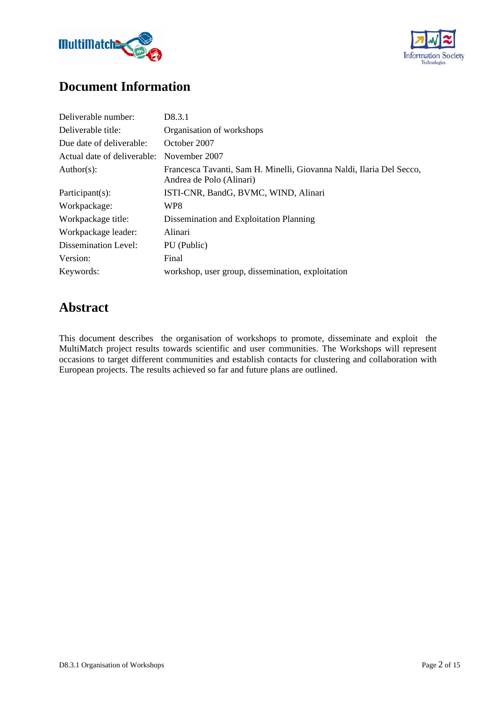



### **Document Information**

| Deliverable number:         | D8.3.1                                                                                           |
|-----------------------------|--------------------------------------------------------------------------------------------------|
| Deliverable title:          | Organisation of workshops                                                                        |
| Due date of deliverable:    | October 2007                                                                                     |
| Actual date of deliverable: | November 2007                                                                                    |
| Author(s):                  | Francesca Tavanti, Sam H. Minelli, Giovanna Naldi, Ilaria Del Secco,<br>Andrea de Polo (Alinari) |
| $Participant(s)$ :          | ISTI-CNR, BandG, BVMC, WIND, Alinari                                                             |
| Workpackage:                | WP8                                                                                              |
| Workpackage title:          | Dissemination and Exploitation Planning                                                          |
| Workpackage leader:         | Alinari                                                                                          |
| Dissemination Level:        | PU (Public)                                                                                      |
| Version:                    | Final                                                                                            |
| Keywords:                   | workshop, user group, dissemination, exploitation                                                |

### **Abstract**

This document describes the organisation of workshops to promote, disseminate and exploit the MultiMatch project results towards scientific and user communities. The Workshops will represent occasions to target different communities and establish contacts for clustering and collaboration with European projects. The results achieved so far and future plans are outlined.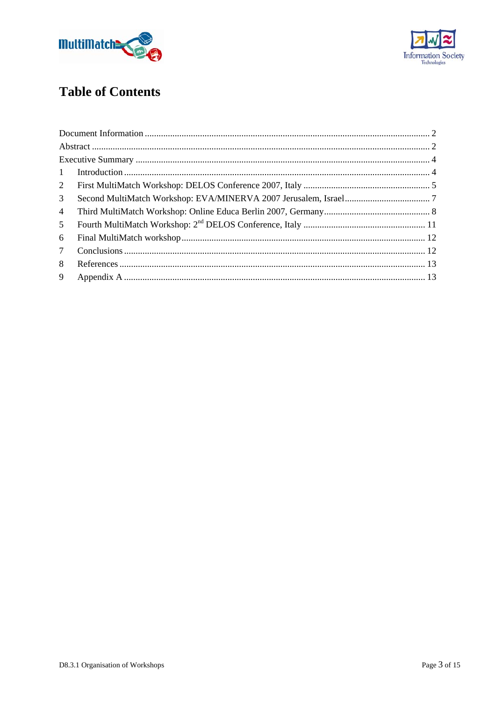



# **Table of Contents**

| $\mathbf{1}$    |  |
|-----------------|--|
| $2^{\circ}$     |  |
| 3               |  |
| $\overline{4}$  |  |
| 5               |  |
| 6               |  |
| $7\phantom{.0}$ |  |
| 8               |  |
| 9               |  |
|                 |  |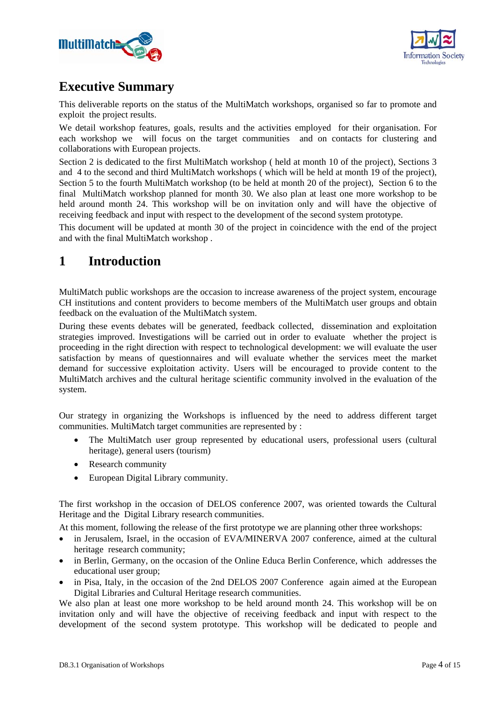



### **Executive Summary**

This deliverable reports on the status of the MultiMatch workshops, organised so far to promote and exploit the project results.

We detail workshop features, goals, results and the activities employed for their organisation. For each workshop we will focus on the target communities and on contacts for clustering and collaborations with European projects.

Section 2 is dedicated to the first MultiMatch workshop ( held at month 10 of the project), Sections 3 and 4 to the second and third MultiMatch workshops ( which will be held at month 19 of the project), Section 5 to the fourth MultiMatch workshop (to be held at month 20 of the project), Section 6 to the final MultiMatch workshop planned for month 30. We also plan at least one more workshop to be held around month 24. This workshop will be on invitation only and will have the objective of receiving feedback and input with respect to the development of the second system prototype.

This document will be updated at month 30 of the project in coincidence with the end of the project and with the final MultiMatch workshop .

### **1 Introduction**

MultiMatch public workshops are the occasion to increase awareness of the project system, encourage CH institutions and content providers to become members of the MultiMatch user groups and obtain feedback on the evaluation of the MultiMatch system.

During these events debates will be generated, feedback collected, dissemination and exploitation strategies improved. Investigations will be carried out in order to evaluate whether the project is proceeding in the right direction with respect to technological development: we will evaluate the user satisfaction by means of questionnaires and will evaluate whether the services meet the market demand for successive exploitation activity. Users will be encouraged to provide content to the MultiMatch archives and the cultural heritage scientific community involved in the evaluation of the system.

Our strategy in organizing the Workshops is influenced by the need to address different target communities. MultiMatch target communities are represented by :

- The MultiMatch user group represented by educational users, professional users (cultural heritage), general users (tourism)
- Research community
- European Digital Library community.

The first workshop in the occasion of DELOS conference 2007, was oriented towards the Cultural Heritage and the Digital Library research communities.

At this moment, following the release of the first prototype we are planning other three workshops:

- in Jerusalem, Israel, in the occasion of EVA/MINERVA 2007 conference, aimed at the cultural heritage research community;
- in Berlin, Germany, on the occasion of the Online Educa Berlin Conference, which addresses the educational user group;
- in Pisa, Italy, in the occasion of the 2nd DELOS 2007 Conference again aimed at the European Digital Libraries and Cultural Heritage research communities.

We also plan at least one more workshop to be held around month 24. This workshop will be on invitation only and will have the objective of receiving feedback and input with respect to the development of the second system prototype. This workshop will be dedicated to people and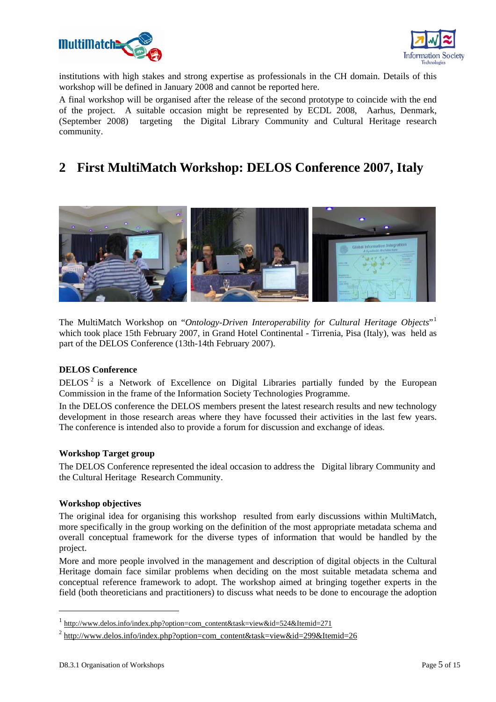



institutions with high stakes and strong expertise as professionals in the CH domain. Details of this workshop will be defined in January 2008 and cannot be reported here.

A final workshop will be organised after the release of the second prototype to coincide with the end of the project. A suitable occasion might be represented by ECDL 2008, Aarhus, Denmark, (September 2008) targeting the Digital Library Community and Cultural Heritage research community.

### **2 First MultiMatch Workshop: DELOS Conference 2007, Italy**



The MultiMatch Workshop on "*Ontology-Driven Interoperability for Cultural Heritage Objects*"<sup>1</sup> which took place 15th February 2007, in Grand Hotel Continental - Tirrenia, Pisa (Italy), was held as part of the DELOS Conference (13th-14th February 2007).

#### **DELOS Conference**

DELOS<sup>2</sup> is a Network of Excellence on Digital Libraries partially funded by the European Commission in the frame of the Information Society Technologies Programme.

In the DELOS conference the DELOS members present the latest research results and new technology development in those research areas where they have focussed their activities in the last few years. The conference is intended also to provide a forum for discussion and exchange of ideas.

#### **Workshop Target group**

The DELOS Conference represented the ideal occasion to address the Digital library Community and the Cultural Heritage Research Community.

#### **Workshop objectives**

The original idea for organising this workshop resulted from early discussions within MultiMatch, more specifically in the group working on the definition of the most appropriate metadata schema and overall conceptual framework for the diverse types of information that would be handled by the project.

More and more people involved in the management and description of digital objects in the Cultural Heritage domain face similar problems when deciding on the most suitable metadata schema and conceptual reference framework to adopt. The workshop aimed at bringing together experts in the field (both theoreticians and practitioners) to discuss what needs to be done to encourage the adoption

-

 $\frac{1 \text{ http://www.delos.info/index.php?option=com\_content\&task=view\&id=524\&Itemid=271}$ 

<sup>&</sup>lt;sup>2</sup> http://www.delos.info/index.php?option=com\_content&task=view&id=299&Itemid=26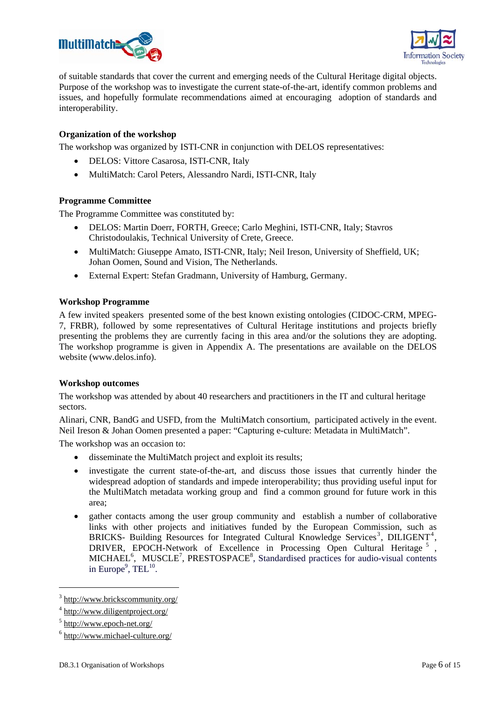



of suitable standards that cover the current and emerging needs of the Cultural Heritage digital objects. Purpose of the workshop was to investigate the current state-of-the-art, identify common problems and issues, and hopefully formulate recommendations aimed at encouraging adoption of standards and interoperability.

#### **Organization of the workshop**

The workshop was organized by ISTI-CNR in conjunction with DELOS representatives:

- DELOS: Vittore Casarosa, ISTI-CNR, Italy
- MultiMatch: Carol Peters, Alessandro Nardi, ISTI-CNR, Italy

#### **Programme Committee**

The Programme Committee was constituted by:

- DELOS: Martin Doerr, FORTH, Greece; Carlo Meghini, ISTI-CNR, Italy; Stavros Christodoulakis, Technical University of Crete, Greece.
- MultiMatch: Giuseppe Amato, ISTI-CNR, Italy: Neil Ireson, University of Sheffield, UK; Johan Oomen, Sound and Vision, The Netherlands.
- External Expert: Stefan Gradmann, University of Hamburg, Germany.

#### **Workshop Programme**

A few invited speakers presented some of the best known existing ontologies (CIDOC-CRM, MPEG-7, FRBR), followed by some representatives of Cultural Heritage institutions and projects briefly presenting the problems they are currently facing in this area and/or the solutions they are adopting. The workshop programme is given in Appendix A. The presentations are available on the DELOS website (www.delos.info).

#### **Workshop outcomes**

The workshop was attended by about 40 researchers and practitioners in the IT and cultural heritage sectors.

Alinari, CNR, BandG and USFD, from the MultiMatch consortium, participated actively in the event. Neil Ireson & Johan Oomen presented a paper: "Capturing e-culture: Metadata in MultiMatch".

The workshop was an occasion to:

- disseminate the MultiMatch project and exploit its results;
- investigate the current state-of-the-art, and discuss those issues that currently hinder the widespread adoption of standards and impede interoperability; thus providing useful input for the MultiMatch metadata working group and find a common ground for future work in this area;
- gather contacts among the user group community and establish a number of collaborative links with other projects and initiatives funded by the European Commission, such as BRICKS- Building Resources for Integrated Cultural Knowledge Services<sup>3</sup>, DILIGENT<sup>4</sup>, BRICKS- Bunding Resources for integrated Cultural Knowledge Services, DILIGENT, DRIVER, EPOCH-Network of Excellence in Processing Open Cultural Heritage<sup>5</sup>, MICHAEL<sup>6</sup>, MUSCLE<sup>7</sup>, PRESTOSPACE<sup>8</sup>, Standardised practices for audio-visual contents in Europe<sup>9</sup>, TEL<sup>10</sup>.

1

<sup>&</sup>lt;sup>3</sup> http://www.brickscommunity.org/

<sup>&</sup>lt;sup>4</sup> http://www.diligentproject.org/

<sup>&</sup>lt;sup>5</sup> http://www.epoch-net.org/

<sup>6</sup> http://www.michael-culture.org/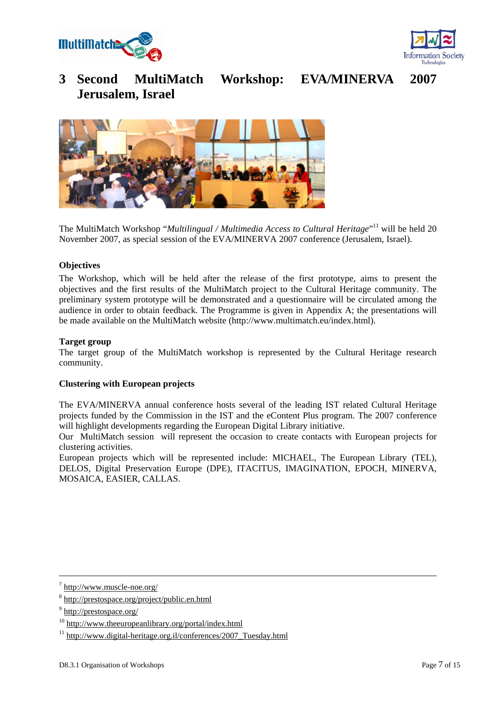



### **3 Second MultiMatch Workshop: EVA/MINERVA 2007 Jerusalem, Israel**

The MultiMatch Workshop "*Multilingual / Multimedia Access to Cultural Heritage*"<sup>11</sup> will be held 20 November 2007, as special session of the EVA/MINERVA 2007 conference (Jerusalem, Israel).

#### **Objectives**

The Workshop, which will be held after the release of the first prototype, aims to present the objectives and the first results of the MultiMatch project to the Cultural Heritage community. The preliminary system prototype will be demonstrated and a questionnaire will be circulated among the audience in order to obtain feedback. The Programme is given in Appendix A; the presentations will be made available on the MultiMatch website (http://www.multimatch.eu/index.html).

#### **Target group**

The target group of the MultiMatch workshop is represented by the Cultural Heritage research community.

#### **Clustering with European projects**

The EVA/MINERVA annual conference hosts several of the leading IST related Cultural Heritage projects funded by the Commission in the IST and the eContent Plus program. The 2007 conference will highlight developments regarding the European Digital Library initiative.

Our MultiMatch session will represent the occasion to create contacts with European projects for clustering activities.

European projects which will be represented include: MICHAEL, The European Library (TEL), DELOS, Digital Preservation Europe (DPE), ITACITUS, IMAGINATION, EPOCH, MINERVA, MOSAICA, EASIER, CALLAS.

 $\frac{1}{7}$ http://www.muscle-noe.org/

<sup>8</sup> http://prestospace.org/project/public.en.html

<sup>&</sup>lt;sup>9</sup> http://prestospace.org/

<sup>10</sup> http://www.theeuropeanlibrary.org/portal/index.html

 $11 \text{ http://www.digital-heritage.org.i/conferences/2007 Tuesday.html}$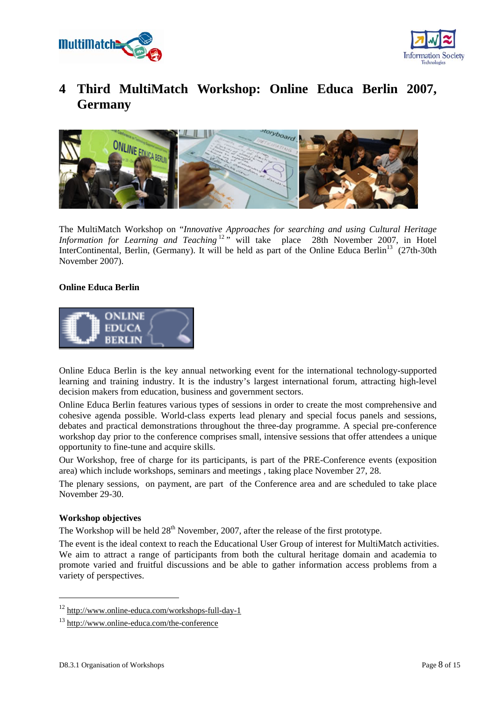



### **4 Third MultiMatch Workshop: Online Educa Berlin 2007, Germany**



The MultiMatch Workshop on "*Innovative Approaches for searching and using Cultural Heritage Information for Learning and Teaching*<sup>12</sup><sup>,</sup> will take place 28th November 2007, in Hotel InterContinental, Berlin, (Germany). It will be held as part of the Online Educa Berlin<sup>13</sup> (27th-30th November 2007).

#### **Online Educa Berlin**



Online Educa Berlin is the key annual networking event for the international technology-supported learning and training industry. It is the industry's largest international forum, attracting high-level decision makers from education, business and government sectors.

Online Educa Berlin features various types of sessions in order to create the most comprehensive and cohesive agenda possible. World-class experts lead plenary and special focus panels and sessions, debates and practical demonstrations throughout the three-day programme. A special pre-conference workshop day prior to the conference comprises small, intensive sessions that offer attendees a unique opportunity to fine-tune and acquire skills.

Our Workshop, free of charge for its participants, is part of the PRE-Conference events (exposition area) which include workshops, seminars and meetings , taking place November 27, 28.

The plenary sessions, on payment, are part of the Conference area and are scheduled to take place November 29-30.

#### **Workshop objectives**

1

The Workshop will be held  $28<sup>th</sup>$  November, 2007, after the release of the first prototype.

The event is the ideal context to reach the Educational User Group of interest for MultiMatch activities. We aim to attract a range of participants from both the cultural heritage domain and academia to promote varied and fruitful discussions and be able to gather information access problems from a variety of perspectives.

<sup>12</sup> http://www.online-educa.com/workshops-full-day-1

<sup>13</sup> http://www.online-educa.com/the-conference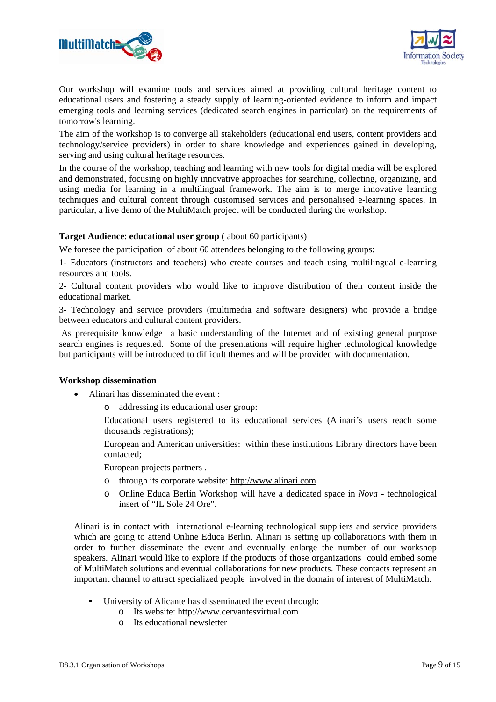



Our workshop will examine tools and services aimed at providing cultural heritage content to educational users and fostering a steady supply of learning-oriented evidence to inform and impact emerging tools and learning services (dedicated search engines in particular) on the requirements of tomorrow's learning.

The aim of the workshop is to converge all stakeholders (educational end users, content providers and technology/service providers) in order to share knowledge and experiences gained in developing, serving and using cultural heritage resources.

In the course of the workshop, teaching and learning with new tools for digital media will be explored and demonstrated, focusing on highly innovative approaches for searching, collecting, organizing, and using media for learning in a multilingual framework. The aim is to merge innovative learning techniques and cultural content through customised services and personalised e-learning spaces. In particular, a live demo of the MultiMatch project will be conducted during the workshop.

#### **Target Audience**: **educational user group** ( about 60 participants)

We foresee the participation of about 60 attendees belonging to the following groups:

1- Educators (instructors and teachers) who create courses and teach using multilingual e-learning resources and tools.

2- Cultural content providers who would like to improve distribution of their content inside the educational market.

3- Technology and service providers (multimedia and software designers) who provide a bridge between educators and cultural content providers.

 As prerequisite knowledge a basic understanding of the Internet and of existing general purpose search engines is requested. Some of the presentations will require higher technological knowledge but participants will be introduced to difficult themes and will be provided with documentation.

#### **Workshop dissemination**

- Alinari has disseminated the event :
	- o addressing its educational user group:

Educational users registered to its educational services (Alinari's users reach some thousands registrations);

European and American universities: within these institutions Library directors have been contacted;

European projects partners .

- o through its corporate website: http://www.alinari.com
- o Online Educa Berlin Workshop will have a dedicated space in *Nova* technological insert of "IL Sole 24 Ore".

Alinari is in contact with international e-learning technological suppliers and service providers which are going to attend Online Educa Berlin. Alinari is setting up collaborations with them in order to further disseminate the event and eventually enlarge the number of our workshop speakers. Alinari would like to explore if the products of those organizations could embed some of MultiMatch solutions and eventual collaborations for new products. These contacts represent an important channel to attract specialized people involved in the domain of interest of MultiMatch.

- University of Alicante has disseminated the event through:
	- o Its website: http://www.cervantesvirtual.com
	- o Its educational newsletter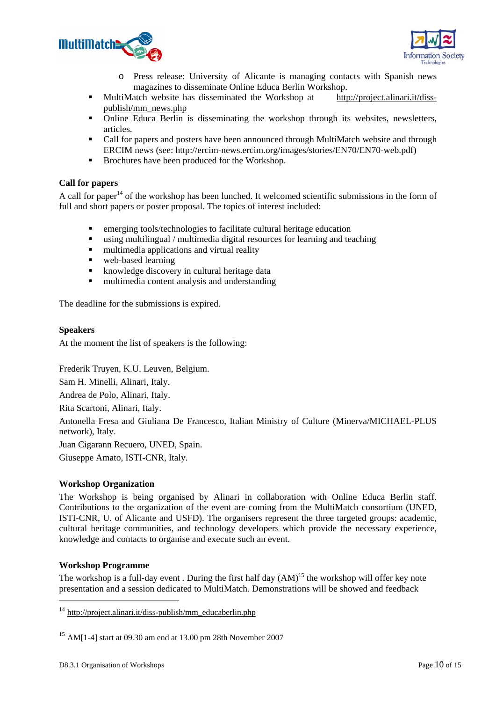



- o Press release: University of Alicante is managing contacts with Spanish news magazines to disseminate Online Educa Berlin Workshop.
- MultiMatch website has disseminated the Workshop at http://project.alinari.it/disspublish/mm\_news.php
- Online Educa Berlin is disseminating the workshop through its websites, newsletters, articles.
- Call for papers and posters have been announced through MultiMatch website and through ERCIM news (see: http://ercim-news.ercim.org/images/stories/EN70/EN70-web.pdf)
- **Brochures have been produced for the Workshop.**

#### **Call for papers**

A call for paper<sup>14</sup> of the workshop has been lunched. It welcomed scientific submissions in the form of full and short papers or poster proposal. The topics of interest included:

- emerging tools/technologies to facilitate cultural heritage education
- using multilingual / multimedia digital resources for learning and teaching<br>multimedia annlications and virtual reality
- multimedia applications and virtual reality
- web-based learning
- knowledge discovery in cultural heritage data
- multimedia content analysis and understanding

The deadline for the submissions is expired.

#### **Speakers**

At the moment the list of speakers is the following:

Frederik Truyen, K.U. Leuven, Belgium.

Sam H. Minelli, Alinari, Italy.

Andrea de Polo, Alinari, Italy.

Rita Scartoni, Alinari, Italy.

Antonella Fresa and Giuliana De Francesco, Italian Ministry of Culture (Minerva/MICHAEL-PLUS network), Italy.

Juan Cigarann Recuero, UNED, Spain.

Giuseppe Amato, ISTI-CNR, Italy.

#### **Workshop Organization**

The Workshop is being organised by Alinari in collaboration with Online Educa Berlin staff. Contributions to the organization of the event are coming from the MultiMatch consortium (UNED, ISTI-CNR, U. of Alicante and USFD). The organisers represent the three targeted groups: academic, cultural heritage communities, and technology developers which provide the necessary experience, knowledge and contacts to organise and execute such an event.

#### **Workshop Programme**

1

The workshop is a full-day event. During the first half day  $(AM)^{15}$  the workshop will offer key note presentation and a session dedicated to MultiMatch. Demonstrations will be showed and feedback

 $14 \text{ http://project.alinari.it/diss-publish/mm}$  educaberlin.php

<sup>15</sup> AM[1-4] start at 09.30 am end at 13.00 pm 28th November 2007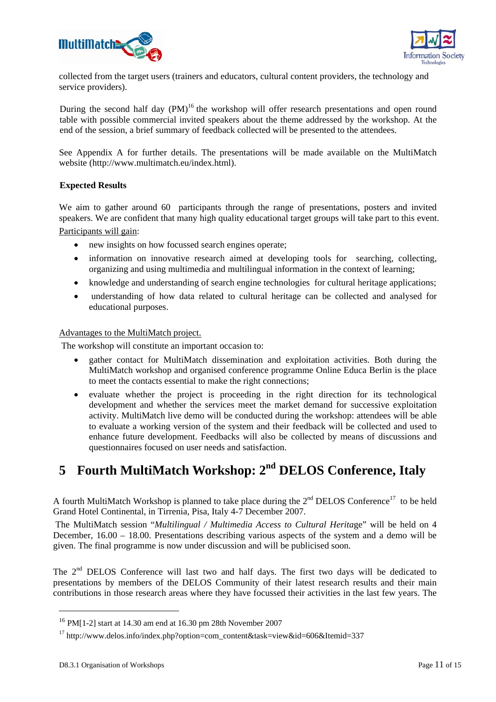



collected from the target users (trainers and educators, cultural content providers, the technology and service providers).

During the second half day  $(PM)^{16}$  the workshop will offer research presentations and open round table with possible commercial invited speakers about the theme addressed by the workshop. At the end of the session, a brief summary of feedback collected will be presented to the attendees.

See Appendix A for further details. The presentations will be made available on the MultiMatch website (http://www.multimatch.eu/index.html).

#### **Expected Results**

We aim to gather around 60 participants through the range of presentations, posters and invited speakers. We are confident that many high quality educational target groups will take part to this event. Participants will gain:

- new insights on how focussed search engines operate:
- information on innovative research aimed at developing tools for searching, collecting, organizing and using multimedia and multilingual information in the context of learning;
- knowledge and understanding of search engine technologies for cultural heritage applications;
- understanding of how data related to cultural heritage can be collected and analysed for educational purposes.

#### Advantages to the MultiMatch project.

The workshop will constitute an important occasion to:

- gather contact for MultiMatch dissemination and exploitation activities. Both during the MultiMatch workshop and organised conference programme Online Educa Berlin is the place to meet the contacts essential to make the right connections;
- evaluate whether the project is proceeding in the right direction for its technological development and whether the services meet the market demand for successive exploitation activity. MultiMatch live demo will be conducted during the workshop: attendees will be able to evaluate a working version of the system and their feedback will be collected and used to enhance future development. Feedbacks will also be collected by means of discussions and questionnaires focused on user needs and satisfaction.

## **5 Fourth MultiMatch Workshop: 2nd DELOS Conference, Italy**

A fourth MultiMatch Workshop is planned to take place during the  $2<sup>nd</sup>$  DELOS Conference<sup>17</sup> to be held Grand Hotel Continental, in Tirrenia, Pisa, Italy 4-7 December 2007.

 The MultiMatch session "*Multilingual / Multimedia Access to Cultural Herita*ge" will be held on 4 December, 16.00 – 18.00. Presentations describing various aspects of the system and a demo will be given. The final programme is now under discussion and will be publicised soon.

The  $2<sup>nd</sup>$  DELOS Conference will last two and half days. The first two days will be dedicated to presentations by members of the DELOS Community of their latest research results and their main contributions in those research areas where they have focussed their activities in the last few years. The

-

<sup>16</sup> PM[1-2] start at 14.30 am end at 16.30 pm 28th November 2007

<sup>&</sup>lt;sup>17</sup> http://www.delos.info/index.php?option=com\_content&task=view&id=606&Itemid=337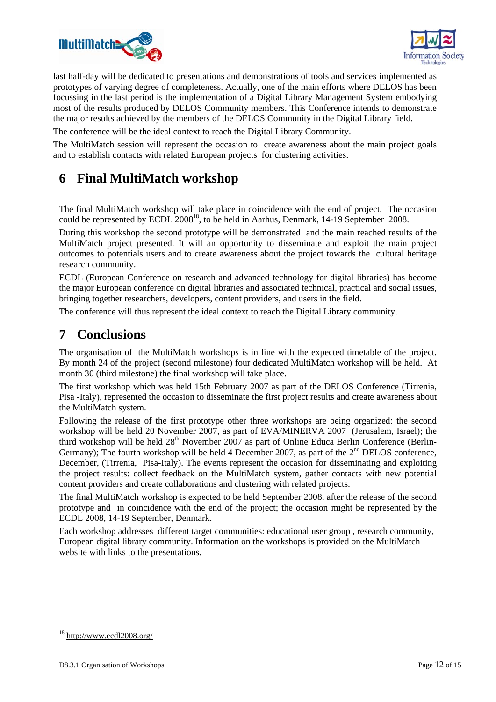



last half-day will be dedicated to presentations and demonstrations of tools and services implemented as prototypes of varying degree of completeness. Actually, one of the main efforts where DELOS has been focussing in the last period is the implementation of a Digital Library Management System embodying most of the results produced by DELOS Community members. This Conference intends to demonstrate the major results achieved by the members of the DELOS Community in the Digital Library field.

The conference will be the ideal context to reach the Digital Library Community.

The MultiMatch session will represent the occasion to create awareness about the main project goals and to establish contacts with related European projects for clustering activities.

### **6 Final MultiMatch workshop**

The final MultiMatch workshop will take place in coincidence with the end of project. The occasion could be represented by  $ECDL^2 2008^{18}$ , to be held in Aarhus, Denmark, 14-19 September 2008.

During this workshop the second prototype will be demonstrated and the main reached results of the MultiMatch project presented. It will an opportunity to disseminate and exploit the main project outcomes to potentials users and to create awareness about the project towards the cultural heritage research community.

ECDL (European Conference on research and advanced technology for digital libraries) has become the major European conference on digital libraries and associated technical, practical and social issues, bringing together researchers, developers, content providers, and users in the field.

The conference will thus represent the ideal context to reach the Digital Library community.

### **7 Conclusions**

The organisation of the MultiMatch workshops is in line with the expected timetable of the project. By month 24 of the project (second milestone) four dedicated MultiMatch workshop will be held. At month 30 (third milestone) the final workshop will take place.

The first workshop which was held 15th February 2007 as part of the DELOS Conference (Tirrenia, Pisa -Italy), represented the occasion to disseminate the first project results and create awareness about the MultiMatch system.

Following the release of the first prototype other three workshops are being organized: the second workshop will be held 20 November 2007, as part of EVA/MINERVA 2007 (Jerusalem, Israel); the third workshop will be held 28<sup>th</sup> November 2007 as part of Online Educa Berlin Conference (Berlin-Germany); The fourth workshop will be held 4 December 2007, as part of the  $2<sup>nd</sup>$  DELOS conference, December, (Tirrenia, Pisa-Italy). The events represent the occasion for disseminating and exploiting the project results: collect feedback on the MultiMatch system, gather contacts with new potential content providers and create collaborations and clustering with related projects.

The final MultiMatch workshop is expected to be held September 2008, after the release of the second prototype and in coincidence with the end of the project; the occasion might be represented by the ECDL 2008, 14-19 September, Denmark.

Each workshop addresses different target communities: educational user group , research community, European digital library community. Information on the workshops is provided on the MultiMatch website with links to the presentations.

-

<sup>18</sup> http://www.ecdl2008.org/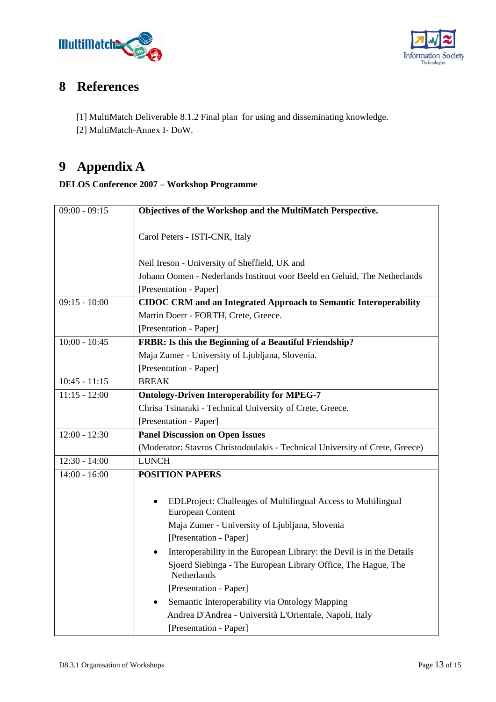



## **8 References**

[1] MultiMatch Deliverable 8.1.2 Final plan for using and disseminating knowledge.

[2] MultiMatch-Annex I- DoW.

# **9 Appendix A**

### **DELOS Conference 2007 – Workshop Programme**

| $09:00 - 09:15$ | Objectives of the Workshop and the MultiMatch Perspective.                                     |
|-----------------|------------------------------------------------------------------------------------------------|
|                 | Carol Peters - ISTI-CNR, Italy                                                                 |
|                 | Neil Ireson - University of Sheffield, UK and                                                  |
|                 | Johann Oomen - Nederlands Instituut voor Beeld en Geluid, The Netherlands                      |
|                 | [Presentation - Paper]                                                                         |
| $09:15 - 10:00$ | <b>CIDOC CRM and an Integrated Approach to Semantic Interoperability</b>                       |
|                 | Martin Doerr - FORTH, Crete, Greece.                                                           |
|                 | [Presentation - Paper]                                                                         |
| $10:00 - 10:45$ | FRBR: Is this the Beginning of a Beautiful Friendship?                                         |
|                 | Maja Zumer - University of Ljubljana, Slovenia.                                                |
|                 | [Presentation - Paper]                                                                         |
| $10:45 - 11:15$ | <b>BREAK</b>                                                                                   |
| $11:15 - 12:00$ | <b>Ontology-Driven Interoperability for MPEG-7</b>                                             |
|                 | Chrisa Tsinaraki - Technical University of Crete, Greece.                                      |
|                 | [Presentation - Paper]                                                                         |
| $12:00 - 12:30$ | <b>Panel Discussion on Open Issues</b>                                                         |
|                 | (Moderator: Stavros Christodoulakis - Technical University of Crete, Greece)                   |
| $12:30 - 14:00$ | <b>LUNCH</b>                                                                                   |
| $14:00 - 16:00$ | <b>POSITION PAPERS</b>                                                                         |
|                 |                                                                                                |
|                 | EDLProject: Challenges of Multilingual Access to Multilingual<br>$\bullet$<br>European Content |
|                 | Maja Zumer - University of Ljubljana, Slovenia                                                 |
|                 | [Presentation - Paper]                                                                         |
|                 | Interoperability in the European Library: the Devil is in the Details<br>$\bullet$             |
|                 | Sjoerd Siebinga - The European Library Office, The Hague, The<br>Netherlands                   |
|                 | [Presentation - Paper]                                                                         |
|                 | Semantic Interoperability via Ontology Mapping                                                 |
|                 | Andrea D'Andrea - Università L'Orientale, Napoli, Italy                                        |
|                 | [Presentation - Paper]                                                                         |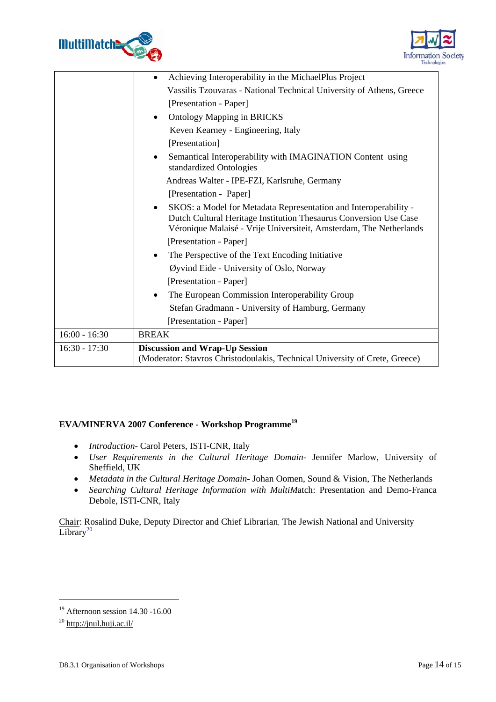



|                 | Achieving Interoperability in the MichaelPlus Project<br>$\bullet$                                                                                                                                                       |
|-----------------|--------------------------------------------------------------------------------------------------------------------------------------------------------------------------------------------------------------------------|
|                 | Vassilis Tzouvaras - National Technical University of Athens, Greece                                                                                                                                                     |
|                 | [Presentation - Paper]                                                                                                                                                                                                   |
|                 | <b>Ontology Mapping in BRICKS</b><br>$\bullet$                                                                                                                                                                           |
|                 | Keven Kearney - Engineering, Italy                                                                                                                                                                                       |
|                 | [Presentation]                                                                                                                                                                                                           |
|                 | Semantical Interoperability with IMAGINATION Content using<br>standardized Ontologies                                                                                                                                    |
|                 | Andreas Walter - IPE-FZI, Karlsruhe, Germany                                                                                                                                                                             |
|                 | [Presentation - Paper]                                                                                                                                                                                                   |
|                 | SKOS: a Model for Metadata Representation and Interoperability -<br>$\bullet$<br>Dutch Cultural Heritage Institution Thesaurus Conversion Use Case<br>Véronique Malaisé - Vrije Universiteit, Amsterdam, The Netherlands |
|                 | [Presentation - Paper]                                                                                                                                                                                                   |
|                 | The Perspective of the Text Encoding Initiative                                                                                                                                                                          |
|                 | Øyvind Eide - University of Oslo, Norway                                                                                                                                                                                 |
|                 | [Presentation - Paper]                                                                                                                                                                                                   |
|                 | The European Commission Interoperability Group<br>$\bullet$                                                                                                                                                              |
|                 | Stefan Gradmann - University of Hamburg, Germany                                                                                                                                                                         |
|                 | [Presentation - Paper]                                                                                                                                                                                                   |
| $16:00 - 16:30$ | <b>BREAK</b>                                                                                                                                                                                                             |
| $16:30 - 17:30$ | <b>Discussion and Wrap-Up Session</b>                                                                                                                                                                                    |
|                 | (Moderator: Stavros Christodoulakis, Technical University of Crete, Greece)                                                                                                                                              |

### **EVA/MINERVA 2007 Conference - Workshop Programme19**

- *Introduction* Carol Peters, ISTI-CNR, Italy
- *User Requirements in the Cultural Heritage Domain* Jennifer Marlow, University of Sheffield, UK
- *Metadata in the Cultural Heritage Domain* Johan Oomen, Sound & Vision, The Netherlands
- *Searching Cultural Heritage Information with MultiM*atch: Presentation and Demo-Franca Debole, ISTI-CNR, Italy

Chair: Rosalind Duke, Deputy Director and Chief Librarian, The Jewish National and University  $\overline{\text{Library}^{20}}$ 

1

<sup>19</sup> Afternoon session 14.30 -16.00

 $^{20}$  http://jnul.huji.ac.il/